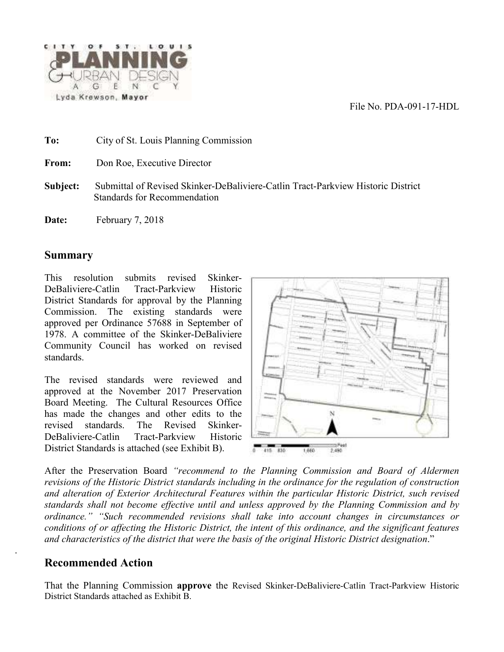File No. PDA-091-17-HDL



**To:** City of St. Louis Planning Commission

**From:** Don Roe, Executive Director

- **Subject:** Submittal of Revised Skinker-DeBaliviere-Catlin Tract-Parkview Historic District Standards for Recommendation
- Date: February 7, 2018

#### **Summary**

 This resolution submits revised Skinker-DeBaliviere-Catlin Tract-Parkview Historic District Standards for approval by the Planning Commission. The existing standards were approved per Ordinance 57688 in September of 1978. A committee of the Skinker-DeBaliviere Community Council has worked on revised standards.

The revised standards were reviewed and approved at the November 2017 Preservation Board Meeting. The Cultural Resources Office has made the changes and other edits to the revised standards. The Revised Skinker-DeBaliviere-Catlin Tract-Parkview Historic District Standards is attached (see Exhibit B).



 After the Preservation Board *"recommend to the Planning Commission and Board of Aldermen revisions of the Historic District standards including in the ordinance for the regulation of construction and alteration of Exterior Architectural Features within the particular Historic District, such revised standards shall not become effective until and unless approved by the Planning Commission and by ordinance." "Such recommended revisions shall take into account changes in circumstances or conditions of or affecting the Historic District, the intent of this ordinance, and the significant features and characteristics of the district that were the basis of the original Historic District designation*."

# **Recommended Action**

.

That the Planning Commission **approve** the Revised Skinker-DeBaliviere-Catlin Tract-Parkview Historic District Standards attached as Exhibit B.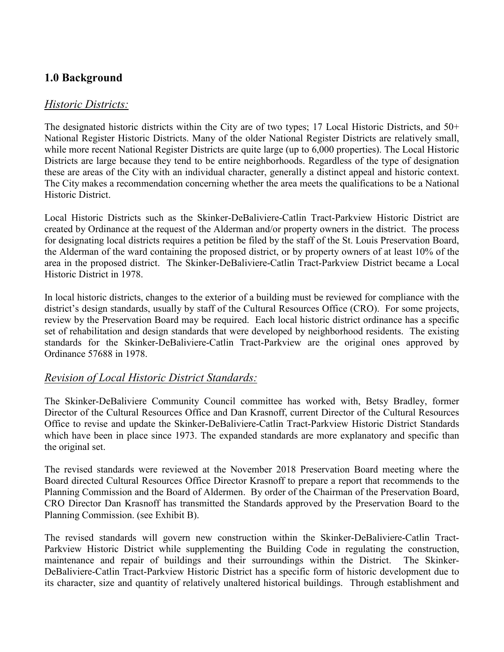# **1.0 Background**

### *Historic Districts:*

The designated historic districts within the City are of two types; 17 Local Historic Districts, and 50+ National Register Historic Districts. Many of the older National Register Districts are relatively small, while more recent National Register Districts are quite large (up to 6,000 properties). The Local Historic Districts are large because they tend to be entire neighborhoods. Regardless of the type of designation these are areas of the City with an individual character, generally a distinct appeal and historic context. The City makes a recommendation concerning whether the area meets the qualifications to be a National Historic District.

Local Historic Districts such as the Skinker-DeBaliviere-Catlin Tract-Parkview Historic District are created by Ordinance at the request of the Alderman and/or property owners in the district. The process for designating local districts requires a petition be filed by the staff of the St. Louis Preservation Board, the Alderman of the ward containing the proposed district, or by property owners of at least 10% of the area in the proposed district. The Skinker-DeBaliviere-Catlin Tract-Parkview District became a Local Historic District in 1978.

In local historic districts, changes to the exterior of a building must be reviewed for compliance with the district's design standards, usually by staff of the Cultural Resources Office (CRO). For some projects, review by the Preservation Board may be required. Each local historic district ordinance has a specific set of rehabilitation and design standards that were developed by neighborhood residents. The existing standards for the Skinker-DeBaliviere-Catlin Tract-Parkview are the original ones approved by Ordinance 57688 in 1978.

### *Revision of Local Historic District Standards:*

The Skinker-DeBaliviere Community Council committee has worked with, Betsy Bradley, former Director of the Cultural Resources Office and Dan Krasnoff, current Director of the Cultural Resources Office to revise and update the Skinker-DeBaliviere-Catlin Tract-Parkview Historic District Standards which have been in place since 1973. The expanded standards are more explanatory and specific than the original set.

The revised standards were reviewed at the November 2018 Preservation Board meeting where the Board directed Cultural Resources Office Director Krasnoff to prepare a report that recommends to the Planning Commission and the Board of Aldermen. By order of the Chairman of the Preservation Board, CRO Director Dan Krasnoff has transmitted the Standards approved by the Preservation Board to the Planning Commission. (see Exhibit B).

The revised standards will govern new construction within the Skinker-DeBaliviere-Catlin Tract-Parkview Historic District while supplementing the Building Code in regulating the construction, maintenance and repair of buildings and their surroundings within the District. The Skinker-DeBaliviere-Catlin Tract-Parkview Historic District has a specific form of historic development due to its character, size and quantity of relatively unaltered historical buildings. Through establishment and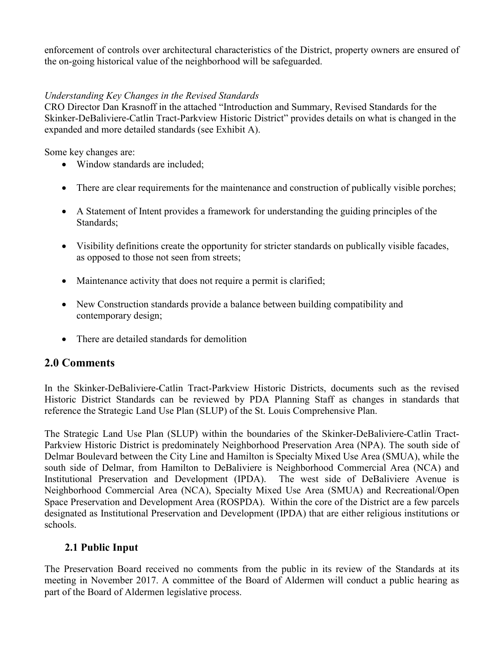enforcement of controls over architectural characteristics of the District, property owners are ensured of the on-going historical value of the neighborhood will be safeguarded.

#### *Understanding Key Changes in the Revised Standards*

CRO Director Dan Krasnoff in the attached "Introduction and Summary, Revised Standards for the Skinker-DeBaliviere-Catlin Tract-Parkview Historic District" provides details on what is changed in the expanded and more detailed standards (see Exhibit A).

Some key changes are:

- Window standards are included;
- There are clear requirements for the maintenance and construction of publically visible porches;
- A Statement of Intent provides a framework for understanding the guiding principles of the Standards;
- Visibility definitions create the opportunity for stricter standards on publically visible facades, as opposed to those not seen from streets;
- Maintenance activity that does not require a permit is clarified;
- New Construction standards provide a balance between building compatibility and contemporary design;
- There are detailed standards for demolition

### **2.0 Comments**

In the Skinker-DeBaliviere-Catlin Tract-Parkview Historic Districts, documents such as the revised Historic District Standards can be reviewed by PDA Planning Staff as changes in standards that reference the Strategic Land Use Plan (SLUP) of the St. Louis Comprehensive Plan.

The Strategic Land Use Plan (SLUP) within the boundaries of the Skinker-DeBaliviere-Catlin Tract-Parkview Historic District is predominately Neighborhood Preservation Area (NPA). The south side of Delmar Boulevard between the City Line and Hamilton is Specialty Mixed Use Area (SMUA), while the south side of Delmar, from Hamilton to DeBaliviere is Neighborhood Commercial Area (NCA) and Institutional Preservation and Development (IPDA). The west side of DeBaliviere Avenue is Neighborhood Commercial Area (NCA), Specialty Mixed Use Area (SMUA) and Recreational/Open Space Preservation and Development Area (ROSPDA). Within the core of the District are a few parcels designated as Institutional Preservation and Development (IPDA) that are either religious institutions or schools.

# **2.1 Public Input**

The Preservation Board received no comments from the public in its review of the Standards at its meeting in November 2017. A committee of the Board of Aldermen will conduct a public hearing as part of the Board of Aldermen legislative process.